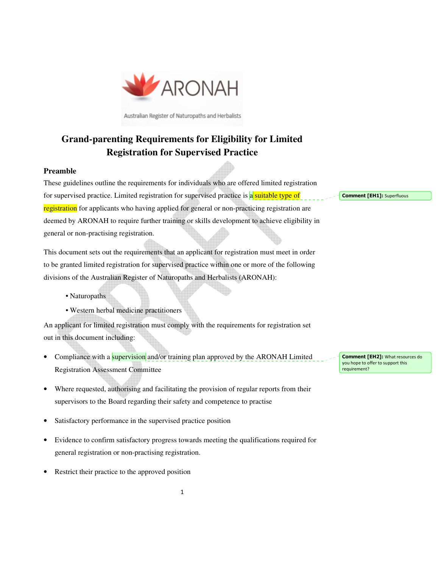

Australian Register of Naturopaths and Herbalists

# **Grand-parenting Requirements for Eligibility for Limited Registration for Supervised Practice**

#### **Preamble**

These guidelines outline the requirements for individuals who are offered limited registration for supervised practice. Limited registration for supervised practice is a suitable type of registration for applicants who having applied for general or non-practicing registration are deemed by ARONAH to require further training or skills development to achieve eligibility in general or non-practising registration.

This document sets out the requirements that an applicant for registration must meet in order to be granted limited registration for supervised practice within one or more of the following divisions of the Australian Register of Naturopaths and Herbalists (ARONAH):

- Naturopaths
- Western herbal medicine practitioners

An applicant for limited registration must comply with the requirements for registration set out in this document including:

- Compliance with a **supervision** and/or training plan approved by the ARONAH Limited Registration Assessment Committee
- Where requested, authorising and facilitating the provision of regular reports from their supervisors to the Board regarding their safety and competence to practise
- Satisfactory performance in the supervised practice position
- Evidence to confirm satisfactory progress towards meeting the qualifications required for general registration or non-practising registration.
- Restrict their practice to the approved position

Comment [EH1]: Superfluous

Comment [EH2]: What resources do you hope to offer to support this requirement?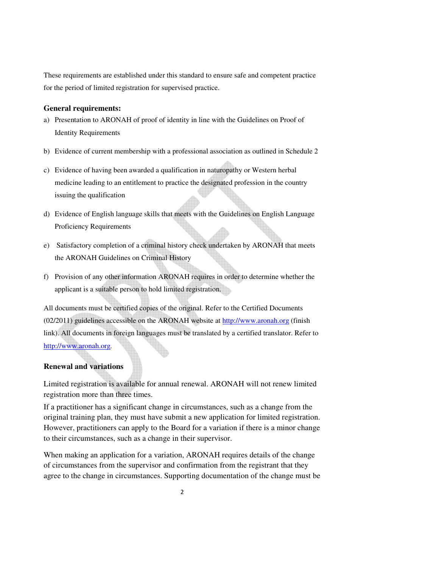These requirements are established under this standard to ensure safe and competent practice for the period of limited registration for supervised practice.

#### **General requirements:**

- a) Presentation to ARONAH of proof of identity in line with the Guidelines on Proof of Identity Requirements
- b) Evidence of current membership with a professional association as outlined in Schedule 2
- c) Evidence of having been awarded a qualification in naturopathy or Western herbal medicine leading to an entitlement to practice the designated profession in the country issuing the qualification
- d) Evidence of English language skills that meets with the Guidelines on English Language Proficiency Requirements
- e) Satisfactory completion of a criminal history check undertaken by ARONAH that meets the ARONAH Guidelines on Criminal History
- f) Provision of any other information ARONAH requires in order to determine whether the applicant is a suitable person to hold limited registration.

All documents must be certified copies of the original. Refer to the Certified Documents (02/2011) guidelines accessible on the ARONAH website at http://www.aronah.org (finish link). All documents in foreign languages must be translated by a certified translator. Refer to http://www.aronah.org.

### **Renewal and variations**

Limited registration is available for annual renewal. ARONAH will not renew limited registration more than three times.

If a practitioner has a significant change in circumstances, such as a change from the original training plan, they must have submit a new application for limited registration. However, practitioners can apply to the Board for a variation if there is a minor change to their circumstances, such as a change in their supervisor.

When making an application for a variation, ARONAH requires details of the change of circumstances from the supervisor and confirmation from the registrant that they agree to the change in circumstances. Supporting documentation of the change must be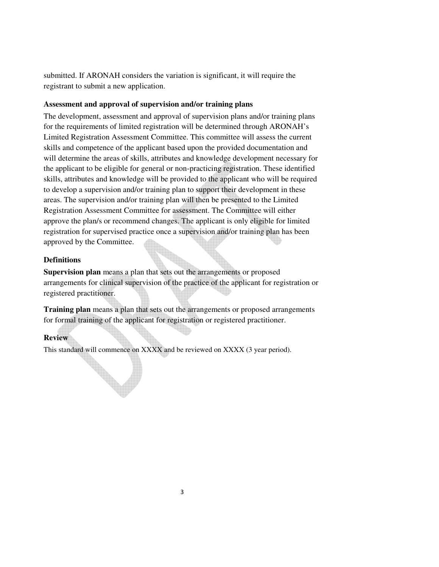submitted. If ARONAH considers the variation is significant, it will require the registrant to submit a new application.

### **Assessment and approval of supervision and/or training plans**

The development, assessment and approval of supervision plans and/or training plans for the requirements of limited registration will be determined through ARONAH's Limited Registration Assessment Committee. This committee will assess the current skills and competence of the applicant based upon the provided documentation and will determine the areas of skills, attributes and knowledge development necessary for the applicant to be eligible for general or non-practicing registration. These identified skills, attributes and knowledge will be provided to the applicant who will be required to develop a supervision and/or training plan to support their development in these areas. The supervision and/or training plan will then be presented to the Limited Registration Assessment Committee for assessment. The Committee will either approve the plan/s or recommend changes. The applicant is only eligible for limited registration for supervised practice once a supervision and/or training plan has been approved by the Committee.

## **Definitions**

**Supervision plan** means a plan that sets out the arrangements or proposed arrangements for clinical supervision of the practice of the applicant for registration or registered practitioner.

**Training plan** means a plan that sets out the arrangements or proposed arrangements for formal training of the applicant for registration or registered practitioner.

### **Review**

This standard will commence on XXXX and be reviewed on XXXX (3 year period).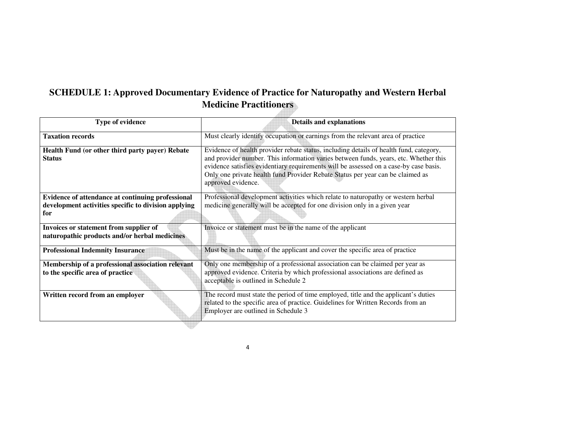## **SCHEDULE 1: Approved Documentary Evidence of Practice for Naturopathy and Western Herbal Medicine Practitioners AND DESCRIPTION**

| Type of evidence                                                                        | <b>Details and explanations</b>                                                                                                                                                                                                                                                                                                                                                 |
|-----------------------------------------------------------------------------------------|---------------------------------------------------------------------------------------------------------------------------------------------------------------------------------------------------------------------------------------------------------------------------------------------------------------------------------------------------------------------------------|
| <b>Taxation records</b>                                                                 | Must clearly identify occupation or earnings from the relevant area of practice                                                                                                                                                                                                                                                                                                 |
| Health Fund (or other third party payer) Rebate<br><b>Status</b>                        | Evidence of health provider rebate status, including details of health fund, category,<br>and provider number. This information varies between funds, years, etc. Whether this<br>evidence satisfies evidentiary requirements will be assessed on a case-by case basis.<br>Only one private health fund Provider Rebate Status per year can be claimed as<br>approved evidence. |
| Evidence of attendance at continuing professional                                       | Professional development activities which relate to naturopathy or western herbal                                                                                                                                                                                                                                                                                               |
| development activities specific to division applying                                    | medicine generally will be accepted for one division only in a given year                                                                                                                                                                                                                                                                                                       |
| for                                                                                     |                                                                                                                                                                                                                                                                                                                                                                                 |
| Invoices or statement from supplier of<br>naturopathic products and/or herbal medicines | Invoice or statement must be in the name of the applicant                                                                                                                                                                                                                                                                                                                       |
| <b>Professional Indemnity Insurance</b>                                                 | Must be in the name of the applicant and cover the specific area of practice                                                                                                                                                                                                                                                                                                    |
| Membership of a professional association relevant                                       | Only one membership of a professional association can be claimed per year as                                                                                                                                                                                                                                                                                                    |
| to the specific area of practice                                                        | approved evidence. Criteria by which professional associations are defined as<br>acceptable is outlined in Schedule 2                                                                                                                                                                                                                                                           |
| Written record from an employer                                                         | The record must state the period of time employed, title and the applicant's duties<br>related to the specific area of practice. Guidelines for Written Records from an<br>Employer are outlined in Schedule 3                                                                                                                                                                  |

4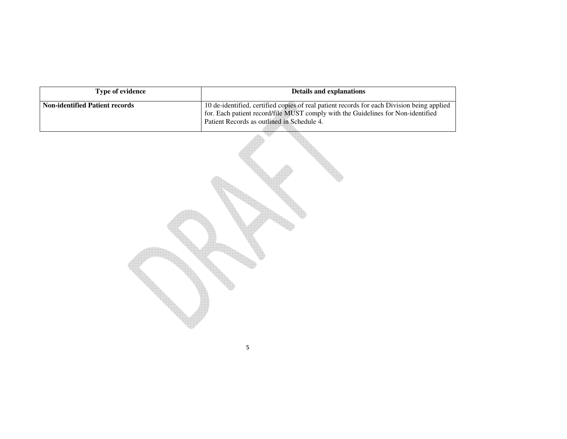| Type of evidence                      | <b>Details and explanations</b>                                                                                                                                                                                              |
|---------------------------------------|------------------------------------------------------------------------------------------------------------------------------------------------------------------------------------------------------------------------------|
| <b>Non-identified Patient records</b> | 10 de-identified, certified copies of real patient records for each Division being applied<br>for. Each patient record/file MUST comply with the Guidelines for Non-identified<br>Patient Records as outlined in Schedule 4. |
|                                       | 5                                                                                                                                                                                                                            |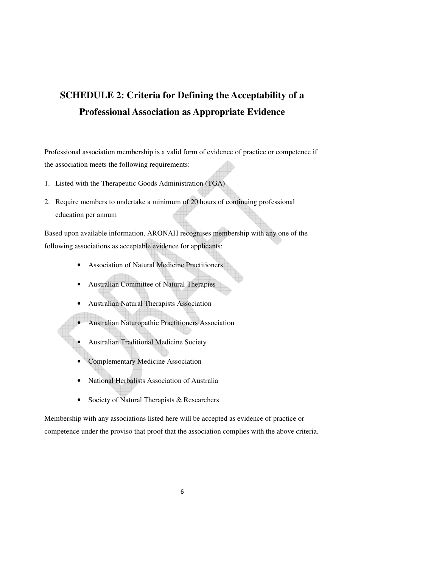# **SCHEDULE 2: Criteria for Defining the Acceptability of a Professional Association as Appropriate Evidence**

Professional association membership is a valid form of evidence of practice or competence if the association meets the following requirements:

- 1. Listed with the Therapeutic Goods Administration (TGA)
- 2. Require members to undertake a minimum of 20 hours of continuing professional education per annum

Based upon available information, ARONAH recognises membership with any one of the following associations as acceptable evidence for applicants:

- Association of Natural Medicine Practitioners
- Australian Committee of Natural Therapies
- Australian Natural Therapists Association
- Australian Naturopathic Practitioners Association
- Australian Traditional Medicine Society
- Complementary Medicine Association
- National Herbalists Association of Australia
- Society of Natural Therapists & Researchers

Membership with any associations listed here will be accepted as evidence of practice or competence under the proviso that proof that the association complies with the above criteria.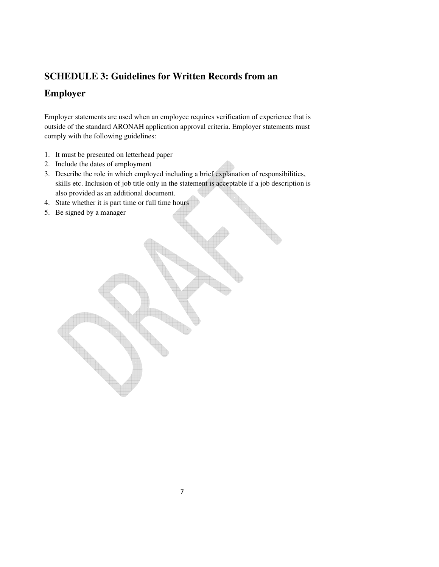## **SCHEDULE 3: Guidelines for Written Records from an**

# **Employer**

Employer statements are used when an employee requires verification of experience that is outside of the standard ARONAH application approval criteria. Employer statements must comply with the following guidelines:

- 1. It must be presented on letterhead paper
- 2. Include the dates of employment
- 3. Describe the role in which employed including a brief explanation of responsibilities, skills etc. Inclusion of job title only in the statement is acceptable if a job description is also provided as an additional document.
- 4. State whether it is part time or full time hours
- 5. Be signed by a manager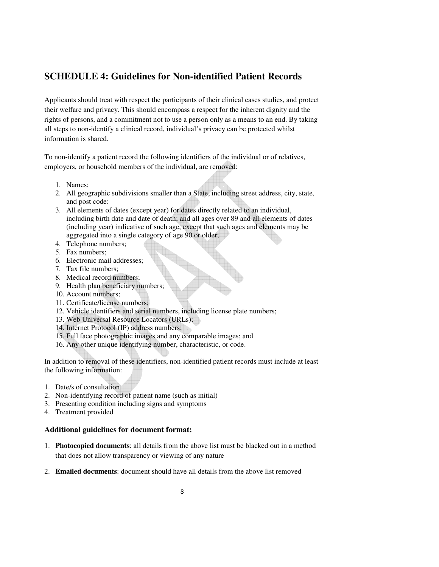## **SCHEDULE 4: Guidelines for Non-identified Patient Records**

Applicants should treat with respect the participants of their clinical cases studies, and protect their welfare and privacy. This should encompass a respect for the inherent dignity and the rights of persons, and a commitment not to use a person only as a means to an end. By taking all steps to non-identify a clinical record, individual's privacy can be protected whilst information is shared.

To non-identify a patient record the following identifiers of the individual or of relatives, employers, or household members of the individual, are removed:

- 1. Names;
- 2. All geographic subdivisions smaller than a State, including street address, city, state, and post code:
- 3. All elements of dates (except year) for dates directly related to an individual, including birth date and date of death; and all ages over 89 and all elements of dates (including year) indicative of such age, except that such ages and elements may be aggregated into a single category of age 90 or older;
- 4. Telephone numbers;
- 5. Fax numbers;
- 6. Electronic mail addresses;
- 7. Tax file numbers;
- 8. Medical record numbers;
- 9. Health plan beneficiary numbers;
- 10. Account numbers;
- 11. Certificate/license numbers;
- 12. Vehicle identifiers and serial numbers, including license plate numbers;
- 13. Web Universal Resource Locators (URLs);
- 14. Internet Protocol (IP) address numbers;
- 15. Full face photographic images and any comparable images; and
- 16. Any other unique identifying number, characteristic, or code.

In addition to removal of these identifiers, non-identified patient records must include at least the following information:

- 1. Date/s of consultation
- 2. Non-identifying record of patient name (such as initial)
- 3. Presenting condition including signs and symptoms
- 4. Treatment provided

#### **Additional guidelines for document format:**

- 1. **Photocopied documents**: all details from the above list must be blacked out in a method that does not allow transparency or viewing of any nature
- 2. **Emailed documents**: document should have all details from the above list removed